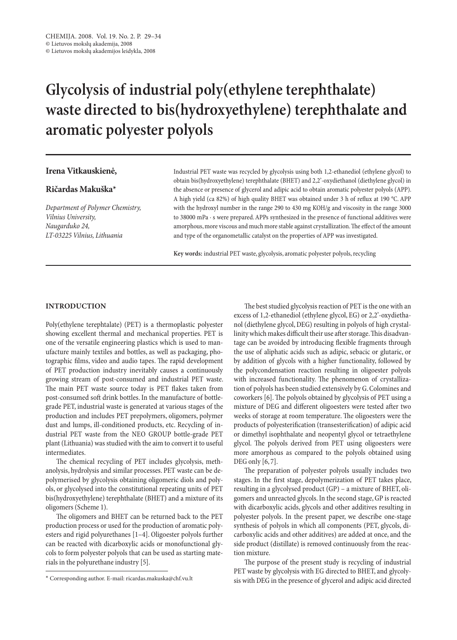# **Glycolysis of industrial poly(ethylene terephthalate) waste directed to bis(hydroxyethylene) terephthalate and aromatic polyester polyols**

## **Irena Vitkauskienė,**

# **Ričardas Makuška\***

*Department of Polymer Chemistry, Vilnius University, Naugarduko 24, LT-03225 Vilnius, Lithuania*

Industrial PET waste was recycled by glycolysis using both 1,2-ethanediol (ethylene glycol) to obtain bis(hydroxyethylene) terephthalate (BHET) and 2,2'-oxydiethanol (diethylene glycol) in the absence or presence of glycerol and adipic acid to obtain aromatic polyester polyols (APP). A high yield (ca 82%) of high quality BHET was obtained under 3 h of reflux at 190 °C. APP with the hydroxyl number in the range 290 to 430 mg KOH/g and viscosity in the range 3000 to 38000 mPa · s were prepared. APPs synthesized in the presence of functional additives were amorphous, more viscous and much more stable against crystallization. The effect of the amount and type of the organometallic catalyst on the properties of APP was investigated.

**Key words:** industrial PET waste, glycolysis, aromatic polyester polyols, recycling

#### **Introduction**

Poly(ethylene terephtalate) (PET) is a thermoplastic polyester showing excellent thermal and mechanical properties. PET is one of the versatile engineering plastics which is used to manufacture mainly textiles and bottles, as well as packaging, photographic films, video and audio tapes. The rapid development of PET production industry inevitably causes a continuously growing stream of post-consumed and industrial PET waste. The main PET waste source today is PET flakes taken from post-consumed soft drink bottles. In the manufacture of bottlegrade PET, industrial waste is generated at various stages of the production and includes PET prepolymers, oligomers, polymer dust and lumps, ill-conditioned products, etc. Recycling of industrial PET waste from the Neo Group bottle-grade PET plant (Lithuania) was studied with the aim to convert it to useful intermediates.

The chemical recycling of PET includes glycolysis, methanolysis, hydrolysis and similar processes. PET waste can be depolymerised by glycolysis obtaining oligomeric diols and polyols, or glycolysed into the constitutional repeating units of PET bis(hydroxyethylene) terephthalate (BHET) and a mixture of its oligomers (Scheme 1).

The oligomers and BHET can be returned back to the PET production process or used for the production of aromatic polyesters and rigid polyurethanes [1–4]. Oligoester polyols further can be reacted with dicarboxylic acids or monofunctional glycols to form polyester polyols that can be used as starting materials in the polyurethane industry [5].

The best studied glycolysis reaction of PET is the one with an excess of 1,2-ethanediol (ethylene glycol, EG) or 2,2'-oxydiethanol (diethylene glycol, DEG) resulting in polyols of high crystallinity which makes difficult their use after storage. This disadvantage can be avoided by introducing flexible fragments through the use of aliphatic acids such as adipic, sebacic or glutaric, or by addition of glycols with a higher functionality, followed by the polycondensation reaction resulting in oligoester polyols with increased functionality. The phenomenon of crystallization of polyols has been studied extensively by G.Colomines and coworkers [6]. The polyols obtained by glycolysis of PET using a mixture of DEG and different oligoesters were tested after two weeks of storage at room temperature. The oligoesters were the products of polyesterification (transesterification) of adipic acid or dimethyl isophthalate and neopentyl glycol or tetraethylene glycol. The polyols derived from PET using oligoesters were more amorphous as compared to the polyols obtained using DEG only [6, 7].

The preparation of polyester polyols usually includes two stages. In the first stage, depolymerization of PET takes place, resulting in a glycolysed product (GP) – a mixture of BHET, oligomers and unreacted glycols. In the second stage, GP is reacted with dicarboxylic acids, glycols and other additives resulting in polyester polyols. In the present paper, we describe one-stage synthesis of polyols in which all components (PET, glycols, dicarboxylic acids and other additives) are added at once, and the side product (distillate) is removed continuously from the reaction mixture.

The purpose of the present study is recycling of industrial PET waste by glycolysis with EG directed to BHET, and glycolysis with DEG in the presence of glycerol and adipic acid directed

<sup>\*</sup> Corresponding author. E-mail: ricardas.makuska@chf.vu.lt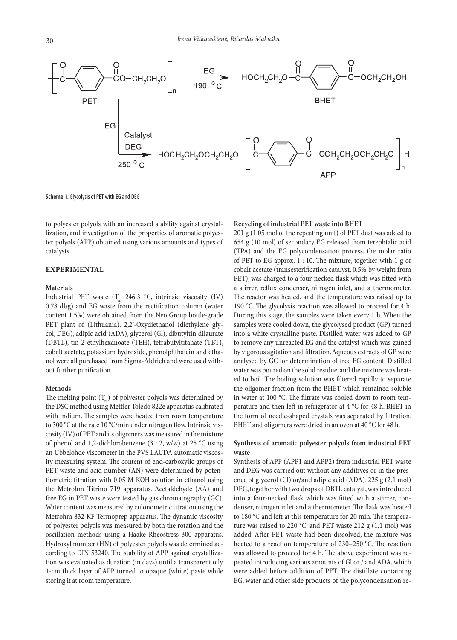

**Scheme 1.** Glycolysis of PET with EG and DEG

to polyester polyols with an increased stability against crystallization, and investigation of the properties of aromatic polyester polyols (APP) obtained using various amounts and types of catalysts.

## **Experimental**

#### **Materials**

Industrial PET waste  $(T_m 246.3 °C,$  intrinsic viscosity (IV) 0.78 dl/g) and EG waste from the rectification column (water content 1.5%) were obtained from the Neo Group bottle-grade PET plant of (Lithuania). 2,2'-Oxydiethanol (diethylene glycol, DEG), adipic acid (ADA), glycerol (Gl), dibutyltin dilaurate (DBTL), tin 2-ethylhexanoate (TEH), tetrabutyltitanate (TBT), cobalt acetate, potassium hydroxide, phenolphthalein and ethanol were all purchased from Sigma-Aldrich and were used without further purification.

#### **Methods**

The melting point  $(T_n)$  of polyester polyols was determined by the DSC method using Mettler Toledo 822e apparatus calibrated with indium. The samples were heated from room temperature to 300 °C at the rate 10 °C/min under nitrogen flow. Intrinsic viscosity (IV) of PET and its oligomers was measured in the mixture of phenol and 1,2-dichlorobenzene (3 : 2, w/w) at 25 °C using an Ubbelohde viscometer in the PVS LAUDA automatic viscosity measuring system. The content of end-carboxylic groups of PET waste and acid number (AN) were determined by potentiometric titration with 0.05 M KOH solution in ethanol using the Metrohm Titrino 719 apparatus. Acetaldehyde (AA) and free EG in PET waste were tested by gas chromatography (GC). Water content was measured by culonometric titration using the Metrohm 832 KF Termoprep apparatus. The dynamic viscosity of polyester polyols was measured by both the rotation and the oscillation methods using a Haake Rheostress 300 apparatus. Hydroxyl number (HN) of polyester polyols was determined according to DIN 53240. The stability of APP against crystallization was evaluated as duration (in days) until a transparent oily 1-cm thick layer of APP turned to opaque (white) paste while storing it at room temperature.

### **Recycling of industrial PET waste into BHET**

201 g (1.05 mol of the repeating unit) of PET dust was added to 654 g (10 mol) of secondary EG released from terephtalic acid (TPA) and the EG polycondensation process, the molar ratio of PET to EG approx. 1 : 10. The mixture, together with 1 g of cobalt acetate (transesterification catalyst, 0.5% by weight from PET), was charged to a four-necked flask which was fitted with a stirrer, reflux condenser, nitrogen inlet, and a thermometer. The reactor was heated, and the temperature was raised up to 190 °C. The glycolysis reaction was allowed to proceed for 4 h. During this stage, the samples were taken every 1 h. When the samples were cooled down, the glycolysed product (GP) turned into a white crystalline paste. Distilled water was added to GP to remove any unreacted EG and the catalyst which was gained by vigorous agitation and filtration. Aqueous extracts of GP were analysed by GC for determination of free EG content. Distilled water was poured on the solid residue, and the mixture was heated to boil. The boiling solution was filtered rapidly to separate the oligomer fraction from the BHET which remained soluble in water at 100 °C. The filtrate was cooled down to room temperature and then left in refrigerator at 4 °C for 48 h. BHET in the form of needle-shaped crystals was separated by filtration. BHET and oligomers were dried in an oven at 40 °C for 48 h.

# **Synthesis of aromatic polyester polyols from industrial PET waste**

Synthesis of APP (APP1 and APP2) from industrial PET waste and DEG was carried out without any additives or in the presence of glycerol (Gl) or/and adipic acid (ADA). 225 g (2.1 mol) DEG, together with two drops of DBTL catalyst, was introduced into a four-necked flask which was fitted with a stirrer, condenser, nitrogen inlet and a thermometer. The flask was heated to 180 °C and left at this temperature for 20 min. The temperature was raised to 220 °C, and PET waste 212 g (1.1 mol) was added. After PET waste had been dissolved, the mixture was heated to a reaction temperature of 230–250 °C. The reaction was allowed to proceed for 4 h. The above experiment was repeated introducing various amounts of Gl or / and ADA, which were added before addition of PET. The distillate containing EG, water and other side products of the polycondensation re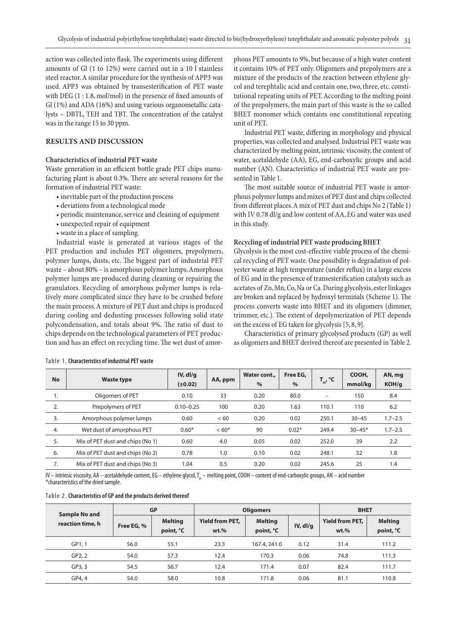action was collected into flask. The experiments using different amounts of Gl (1 to 12%) were carried out in a 10 l stainless steel reactor. A similar procedure for the synthesis of APP3 was used. APP3 was obtained by transesterification of PET waste with DEG (1 : 1.8, mol/mol) in the presence of fixed amounts of Gl (1%) and ADA (16%) and using various organometallic catalysts – DBTL, TEH and TBT. The concentration of the catalyst was in the range 15 to 30 ppm.

# **Results and Discussion**

### **Characteristics of industrial PET waste**

Waste generation in an efficient bottle grade PET chips manufacturing plant is about 0.3%. There are several reasons for the formation of industrial PET waste:

- inevitable part of the production process
- deviations from a technological mode
- periodic maintenance, service and cleaning of equipment
- unexpected repair of equipment
- waste in a place of sampling.

Industrial waste is generated at various stages of the PET production and includes PET oligomers, prepolymers, polymer lumps, dusts, etc. The biggest part of industrial PET waste – about 80%– is amorphous polymer lumps. Amorphous polymer lumps are produced during cleaning or repairing the granulators. Recycling of amorphous polymer lumps is relatively more complicated since they have to be crushed before the main process. A mixture of PET dust and chips is produced during cooling and dedusting processes following solid state polycondensation, and totals about 9%. The ratio of dust to chips depends on the technological parameters of PET production and has an effect on recycling time. The wet dust of amorphous PET amounts to 9%, but because of a high water content it contains 10% of PET only. Oligomers and prepolymers are a mixture of the products of the reaction between ethylene glycol and terephtalic acid and contain one, two, three, etc. constitutional repeating units of PET. According to the melting point of the prepolymers, the main part of this waste is the so called BHET monomer which contains one constitutional repeating unit of PET.

Industrial PET waste, differing in morphology and physical properties, was collected and analysed. Industrial PET waste was characterized by melting point, intrinsic viscosity, the content of water, acetaldehyde (AA), EG, end-carboxylic groups and acid number (AN). Characteristics of industrial PET waste are presented in Table 1.

The most suitable source of industrial PET waste is amorphous polymer lumps and mixes of PET dust and chips collected from different places. A mix of PET dust and chips No 2 (Table 1) with IV 0.78 dl/g and low content of AA, EG and water was used in this study.

#### **Recycling of industrial PET waste producing BHET**

Glycolysis is the most cost-effective viable process of the chemical recycling of PET waste. One possibility is degradation of polyester waste at high temperature (under reflux) in a large excess of EG and in the presence of transesterification catalysts such as acetates of Zn, Mn, Co, Na or Ca. During glycolysis, ester linkages are broken and replaced by hydroxyl terminals (Scheme 1). The process converts waste into BHET and its oligomers (dimmer, trimmer, etc.). The extent of depolymerization of PET depends on the excess of EG taken for glycolysis [5, 8, 9].

Characteristics of primary glycolysed products (GP) as well as oligomers and BHET derived thereof are presented in Table 2.

| <b>No</b> | <b>Waste type</b>                | $IV,$ dl/g<br>$(\pm 0.02)$ | AA, ppm | Water cont.,<br>$\%$ | Free EG,<br>$\%$ | $T_{m'}^{\circ}$ °C | COOH,<br>mmol/kg | AN, mg<br>KOH/g |
|-----------|----------------------------------|----------------------------|---------|----------------------|------------------|---------------------|------------------|-----------------|
| 1.        | Oligomers of PET                 | 0.10                       | 33      | 0.20                 | 80.0             |                     | 150              | 8.4             |
| 2.        | Prepolymers of PET               | $0.10 - 0.25$              | 100     | 0.20                 | 1.63             | 110.1               | 110              | 6.2             |
| 3.        | Amorphous polymer lumps          | 0.60                       | < 60    | 0.20                 | 0.02             | 250.1               | $30 - 45$        | $1.7 - 2.5$     |
| 4.        | Wet dust of amorphous PET        | $0.60*$                    | $< 60*$ | 90                   | $0.02*$          | 249.4               | $30 - 45*$       | $1.7 - 2.5$     |
| 5.        | Mix of PET dust and chips (No 1) | 0.60                       | 4.0     | 0.05                 | 0.02             | 252.0               | 39               | 2.2             |
| 6.        | Mix of PET dust and chips (No 2) | 0.78                       | 1.0     | 0.10                 | 0.02             | 248.1               | 32               | 1.8             |
| 7.        | Mix of PET dust and chips (No 3) | 1.04                       | 0.5     | 0.20                 | 0.02             | 245.6               | 25               | 1.4             |

#### Table 1. **Characteristics of industrial PET waste**

IV – intrinsic viscosity, AA – acetaldehyde content, EG – ethylene glycol, T<sub>in</sub> – melting point, COOH – content of end-carboxylic groups, AN – acid number \*characteristics of the dried sample.

|  |  | Table 2. Characteristics of GP and the products derived thereof |
|--|--|-----------------------------------------------------------------|
|--|--|-----------------------------------------------------------------|

| Sample No and    | <b>GP</b>  |                             | <b>Oligomers</b>                  |                             |          | <b>BHET</b>                       |                             |
|------------------|------------|-----------------------------|-----------------------------------|-----------------------------|----------|-----------------------------------|-----------------------------|
| reaction time, h | Free EG, % | <b>Melting</b><br>point, °C | <b>Yield from PET,</b><br>$wt.$ % | <b>Melting</b><br>point, °C | IV, dI/q | <b>Yield from PET,</b><br>$wt.$ % | <b>Melting</b><br>point, °C |
| GP1.1            | 56.0       | 55.1                        | 23.3                              | 167.4, 241.0                | 0.12     | 31.4                              | 111.2                       |
| GP2, 2           | 54.0       | 57.3                        | 12.4                              | 170.3                       | 0.06     | 74.8                              | 111.3                       |
| GP3, 3           | 54.5       | 56.7                        | 12.4                              | 171.4                       | 0.07     | 82.4                              | 111.7                       |
| GP4, 4           | 54.0       | 58.0                        | 10.8                              | 171.8                       | 0.06     | 81.1                              | 110.8                       |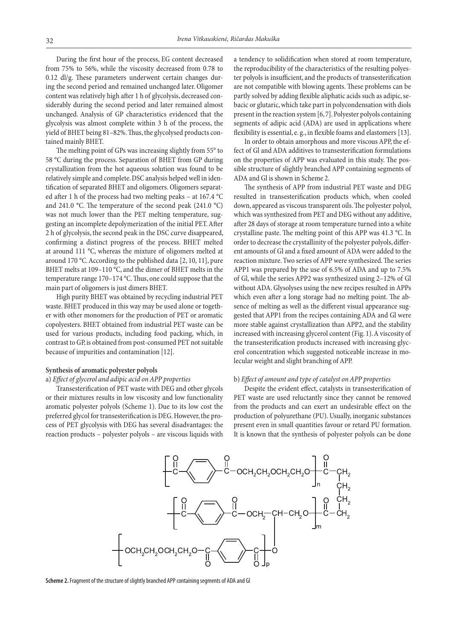During the first hour of the process, EG content decreased from 75% to 56%, while the viscosity decreased from 0.78 to 0.12 dl/g. These parameters underwent certain changes during the second period and remained unchanged later. Oligomer content was relatively high after 1 h of glycolysis, decreased considerably during the second period and later remained almost unchanged. Analysis of GP characteristics evidenced that the glycolysis was almost complete within 3 h of the process, the yield of BHET being 81–82%. Thus, the glycolysed products contained mainly BHET.

The melting point of GPs was increasing slightly from 55° to 58 °C during the process. Separation of BHET from GP during crystallization from the hot aqueous solution was found to be relatively simple and complete. DSC analysis helped well in identification of separated BHET and oligomers. Oligomers separated after 1 h of the process had two melting peaks – at 167.4 °C and 241.0 °C. The temperature of the second peak (241.0 °C) was not much lower than the PET melting temperature, suggesting an incomplete depolymerization of the initial PET. After 2 h of glycolysis, the second peak in the DSC curve disappeared, confirming a distinct progress of the process. BHET melted at around 111 °C, whereas the mixture of oligomers melted at around 170 °C. According to the published data [2, 10, 11], pure BHET melts at 109–110 °C, and the dimer of BHET melts in the temperature range 170–174 °C. Thus, one could suppose that the main part of oligomers is just dimers BHET.

High purity BHET was obtained by recycling industrial PET waste. BHET produced in this way may be used alone or together with other monomers for the production of PET or aromatic copolyesters. BHET obtained from industrial PET waste can be used for various products, including food packing, which, in contrast to GP, is obtained from post-consumed PET not suitable because of impurities and contamination [12].

#### **Synthesis of aromatic polyester polyols**

#### a) *Effect of glycerol and adipic acid on APP properties*

Transesterification of PET waste with DEG and other glycols or their mixtures results in low viscosity and low functionality aromatic polyester polyols (Scheme 1). Due to its low cost the preferred glycol for transesterification is DEG. However, the process of PET glycolysis with DEG has several disadvantages: the reaction products – polyester polyols – are viscous liquids with

a tendency to solidification when stored at room temperature, the reproducibility of the characteristics of the resulting polyester polyols is insufficient, and the products of transesterification are not compatible with blowing agents. These problems can be partly solved by adding flexible aliphatic acids such as adipic, sebacic or glutaric, which take part in polycondensation with diols present in the reaction system [6, 7]. Polyester polyols containing segments of adipic acid (ADA) are used in applications where flexibility is essential, e. g., in flexible foams and elastomers [13].

In order to obtain amorphous and more viscous APP, the effect of Gl and ADA additives to transesterification formulations on the properties of APP was evaluated in this study. The possible structure of slightly branched APP containing segments of ADA and Gl is shown in Scheme 2.

The synthesis of APP from industrial PET waste and DEG resulted in transesterification products which, when cooled down, appeared as viscous transparent oils. The polyester polyol, which was synthesized from PET and DEG without any additive, after 28 days of storage at room temperature turned into a white crystalline paste. The melting point of this APP was 41.3 °C. In order to decrease the crystallinity of the polyester polyols, different amounts of Gl and a fixed amount of ADA were added to the reaction mixture. Two series of APP were synthesized. The series APP1 was prepared by the use of 6.5% of ADA and up to 7.5% of Gl, while the series APP2 was synthesized using 2–12% of Gl without ADA. Glysolyses using the new recipes resulted in APPs which even after a long storage had no melting point. The absence of melting as well as the different visual appearance suggested that APP1 from the recipes containing ADA and Gl were more stable against crystallization than APP2, and the stability increased with increasing glycerol content (Fig. 1). A viscosity of the transesterification products increased with increasing glycerol concentration which suggested noticeable increase in molecular weight and slight branching of APP.

#### b) *Effect of amount and type of catalyst on APP properties*

Despite the evident effect, catalysts in transesterification of PET waste are used reluctantly since they cannot be removed from the products and can exert an undesirable effect on the production of polyurethane (PU). Usually, inorganic substances present even in small quantities favour or retard PU formation. It is known that the synthesis of polyester polyols can be done



**Scheme 2.** Fragment of the structure of slightly branched APP containing segments of ADA and Gl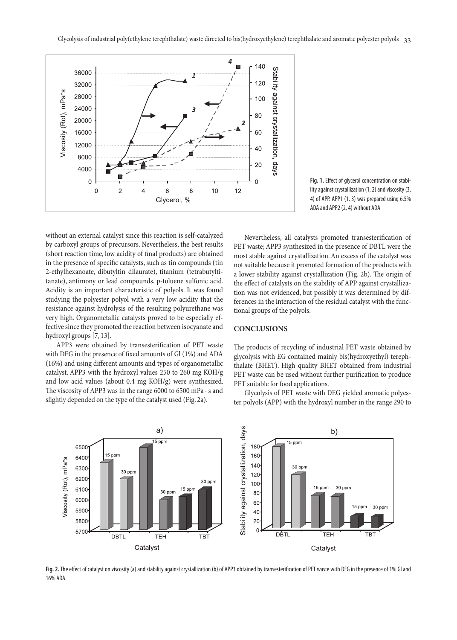

**Fig. 1.** Effect of glycerol concentration on stability against crystallization (1, 2) and viscosity (3, 4) of APP. APP1 (1, 3) was prepared using 6.5% ADA and APP2 (2, 4) without ADA

without an external catalyst since this reaction is self-catalyzed by carboxyl groups of precursors. Nevertheless, the best results (short reaction time, low acidity of final products) are obtained in the presence of specific catalysts, such as tin compounds (tin 2-ethylhexanoate, dibutyltin dilaurate), titanium (tetrabutyltitanate), antimony or lead compounds, p-toluene sulfonic acid. Acidity is an important characteristic of polyols. It was found studying the polyester polyol with a very low acidity that the resistance against hydrolysis of the resulting polyurethane was very high. Organometallic catalysts proved to be especially effective since they promoted the reaction between isocyanate and hydroxyl groups [7, 13].

APP3 were obtained by transesterification of PET waste with DEG in the presence of fixed amounts of Gl (1%) and ADA (16%) and using different amounts and types of organometallic catalyst. APP3 with the hydroxyl values 250 to 260 mg KOH/g and low acid values (about 0.4 mg KOH/g) were synthesized. The viscosity of APP3 was in the range 6000 to 6500 mPa · s and slightly depended on the type of the catalyst used (Fig. 2a).

Nevertheless, all catalysts promoted transesterification of PET waste; APP3 synthesized in the presence of DBTL were the most stable against crystallization. An excess of the catalyst was not suitable because it promoted formation of the products with a lower stability against crystallization (Fig. 2b). The origin of the effect of catalysts on the stability of APP against crystallization was not evidenced, but possibly it was determined by differences in the interaction of the residual catalyst with the functional groups of the polyols.

# **Conclusions**

The products of recycling of industrial PET waste obtained by glycolysis with EG contained mainly bis(hydroxyethyl) terephthalate (BHET). High quality BHET obtained from industrial PET waste can be used without further purification to produce PET suitable for food applications.

Glycolysis of PET waste with DEG yielded aromatic polyester polyols (APP) with the hydroxyl number in the range 290 to



**Fig. 2.** The effect of catalyst on viscosity (a) and stability against crystallization (b) of APP3 obtained by transesterification of PET waste with DEG in the presence of 1% Gl and 16% ADA